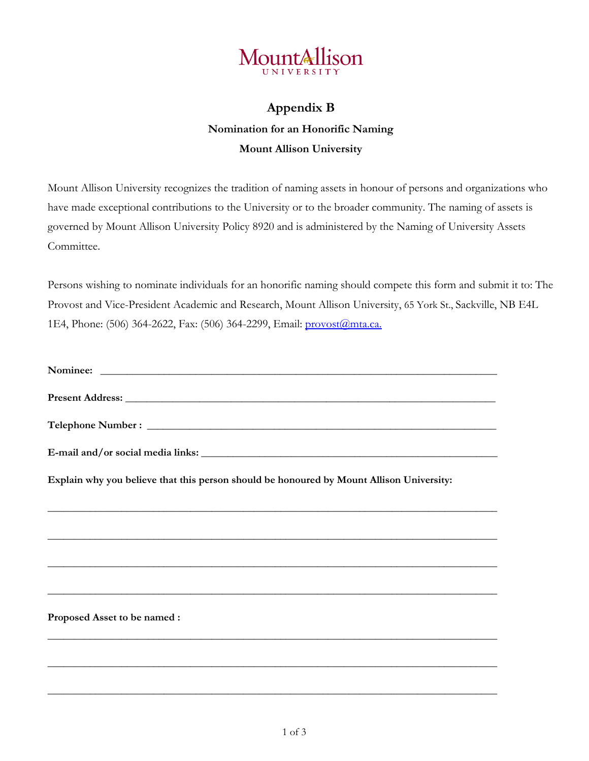

## **Appendix B Nomination for an Honorific Naming Mount Allison University**

Mount Allison University recognizes the tradition of naming assets in honour of persons and organizations who have made exceptional contributions to the University or to the broader community. The naming of assets is governed by Mount Allison University Policy 8920 and is administered by the Naming of University Assets Committee.

Persons wishing to nominate individuals for an honorific naming should compete this form and submit it to: The Provost and Vice-President Academic and Research, Mount Allison University, 65 York St., Sackville, NB E4L 1E4, Phone: (506) 364-2622, Fax: (506) 364-2299, Email: [provost@mta.ca.](mailto:provost@mta.ca)

| Present Address: New York Changes and Separate Separate Separate Separate Separate Separate Separate Separate Separate Separate Separate Separate Separate Separate Separate Separate Separate Separate Separate Separate Sepa |
|--------------------------------------------------------------------------------------------------------------------------------------------------------------------------------------------------------------------------------|
|                                                                                                                                                                                                                                |
|                                                                                                                                                                                                                                |
| Explain why you believe that this person should be honoured by Mount Allison University:                                                                                                                                       |
| ,我们也不能在这里的时候,我们也不能在这里的时候,我们也不能在这里的时候,我们也不能会不能会不能会不能会不能会不能会不能会不能会。<br>第2012章 我们的时候,我们的时候,我们的时候,我们的时候,我们的时候,我们的时候,我们的时候,我们的时候,我们的时候,我们的时候,我们的时候,我们的时候,我                                                                          |
|                                                                                                                                                                                                                                |
| ,我们也不能在这里的时候,我们也不能在这里的时候,我们也不能在这里的时候,我们也不能会不能在这里的时候,我们也不能会不能会不能会不能会不能会不能会不能会不能会不                                                                                                                                               |
| Proposed Asset to be named :                                                                                                                                                                                                   |
|                                                                                                                                                                                                                                |
|                                                                                                                                                                                                                                |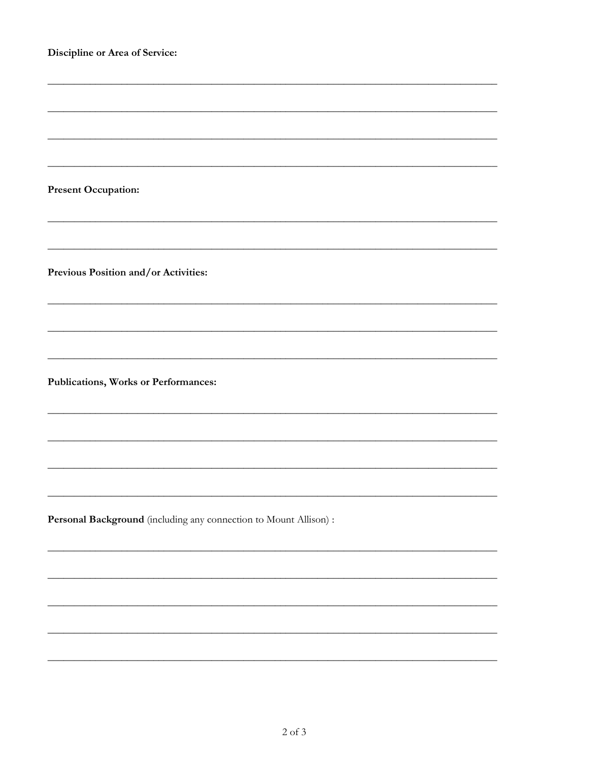| Discipline or Area of Service:                                    |
|-------------------------------------------------------------------|
|                                                                   |
|                                                                   |
|                                                                   |
|                                                                   |
| <b>Present Occupation:</b>                                        |
|                                                                   |
| Previous Position and/or Activities:                              |
|                                                                   |
|                                                                   |
| Publications, Works or Performances:                              |
|                                                                   |
|                                                                   |
|                                                                   |
| Personal Background (including any connection to Mount Allison) : |
|                                                                   |
|                                                                   |
|                                                                   |
|                                                                   |